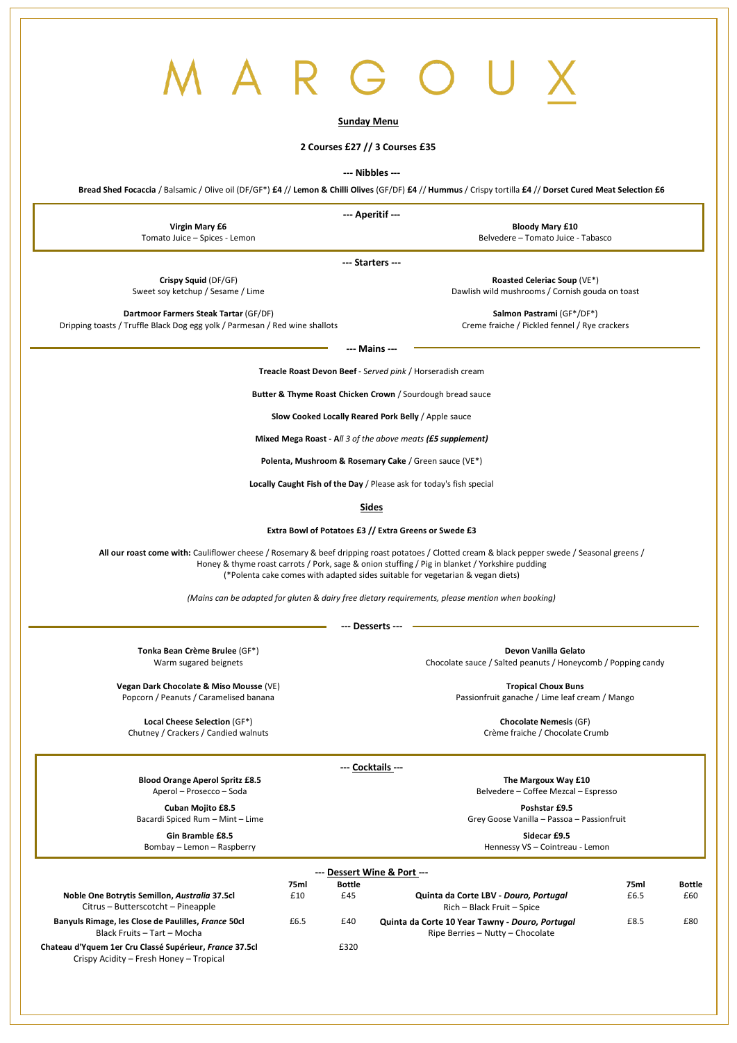# $\overline{()}$

## **Sunday Menu**

## **2 Courses £27 // 3 Courses £35**

### **--- Nibbles ---**

Bread Shed Focaccia / Balsamic / Olive oil (DF/GF\*) £4 // Lemon & Chilli Olives (GF/DF) £4 // Hummus / Crispy tortilla £4 // Dorset Cured Meat Selection £6

**--- Aperitif ---**

**Virgin Mary £6** Tomato Juice – Spices - Lemon

**Bloody Mary £10** Belvedere – Tomato Juice - Tabasco

**--- Starters ---**

**Crispy Squid** (DF/GF) Sweet soy ketchup / Sesame / Lime

**Roasted Celeriac Soup** (VE\*) Dawlish wild mushrooms / Cornish gouda on toast

**Dartmoor Farmers Steak Tartar** (GF/DF) Dripping toasts / Truffle Black Dog egg yolk / Parmesan / Red wine shallots

**Salmon Pastrami** (GF\*/DF\*) Creme fraiche / Pickled fennel / Rye crackers

**--- Mains ---**

**Treacle Roast Devon Beef** - S*erved pink* / Horseradish cream

**Butter & Thyme Roast Chicken Crown** / Sourdough bread sauce

**Slow Cooked Locally Reared Pork Belly** / Apple sauce

**Mixed Mega Roast - A***ll 3 of the above meats (£5 supplement)*

**Polenta, Mushroom & Rosemary Cake** / Green sauce (VE\*)

**Locally Caught Fish of the Day** / Please ask for today's fish special

**Sides**

**Extra Bowl of Potatoes £3 // Extra Greens or Swede £3**

**All our roast come with:** Cauliflower cheese / Rosemary & beef dripping roast potatoes / Clotted cream & black pepper swede / Seasonal greens / Honey & thyme roast carrots / Pork, sage & onion stuffing / Pig in blanket / Yorkshire pudding (\*Polenta cake comes with adapted sides suitable for vegetarian & vegan diets)

*(Mains can be adapted for gluten & dairy free dietary requirements, please mention when booking)*

**--- Desserts ---**

**Tonka Bean Crème Brulee** (GF\*) Warm sugared beignets

**Devon Vanilla Gelato** Chocolate sauce / Salted peanuts / Honeycomb / Popping candy

**Vegan Dark Chocolate & Miso Mousse** (VE) Popcorn / Peanuts / Caramelised banana

**Tropical Choux Buns** Passionfruit ganache / Lime leaf cream / Mango

**Local Cheese Selection** (GF\*) Chutney / Crackers / Candied walnuts

**Chocolate Nemesis** (GF) Crème fraiche / Chocolate Crumb

**--- Cocktails ---**

**Blood Orange Aperol Spritz £8.5**

Aperol – Prosecco – Soda

**Cuban Mojito £8.5** Bacardi Spiced Rum – Mint – Lime

**Gin Bramble £8.5** Bombay – Lemon – Raspberry **The Margoux Way £10**

Belvedere – Coffee Mezcal – Espresso

**Poshstar £9.5** Grey Goose Vanilla – Passoa – Passionfruit

> **Sidecar £9.5** Hennessy VS – Cointreau - Lemon

|                                                                                                    |      |               | --- Dessert Wine & Port ---                                                         |      |               |
|----------------------------------------------------------------------------------------------------|------|---------------|-------------------------------------------------------------------------------------|------|---------------|
|                                                                                                    | 75ml | <b>Bottle</b> |                                                                                     | 75ml | <b>Bottle</b> |
| Noble One Botrytis Semillon, Australia 37.5cl<br>Citrus - Butterscotcht - Pineapple                | £10  | £45           | Quinta da Corte LBV - Douro, Portugal<br>Rich - Black Fruit - Spice                 | £6.5 | £60           |
| Banyuls Rimage, les Close de Paulilles, France 50cl<br>Black Fruits - Tart - Mocha                 | £6.5 | £40           | Quinta da Corte 10 Year Tawny - Douro, Portugal<br>Ripe Berries - Nutty - Chocolate | £8.5 | £80           |
| Chateau d'Yquem 1er Cru Classé Supérieur, France 37.5cl<br>Crispy Acidity - Fresh Honey - Tropical |      | £320          |                                                                                     |      |               |